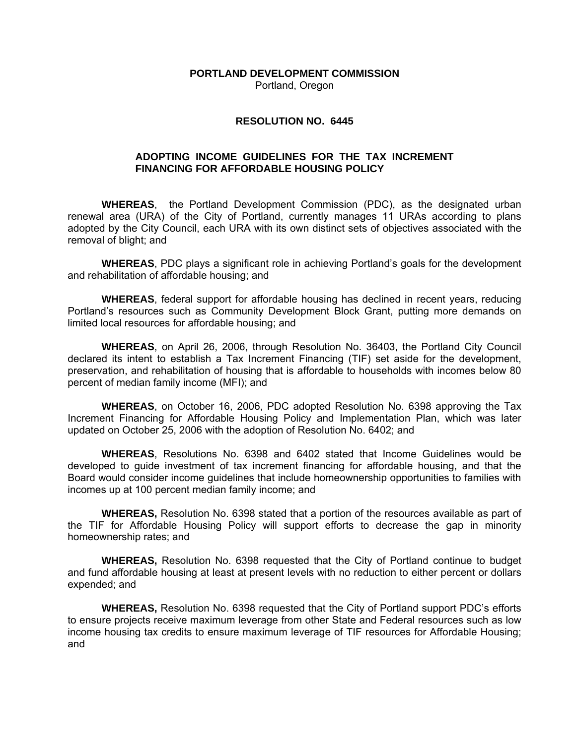**PORTLAND DEVELOPMENT COMMISSION**  Portland, Oregon

#### **RESOLUTION NO. 6445**

#### **ADOPTING INCOME GUIDELINES FOR THE TAX INCREMENT FINANCING FOR AFFORDABLE HOUSING POLICY**

**WHEREAS**, the Portland Development Commission (PDC), as the designated urban renewal area (URA) of the City of Portland, currently manages 11 URAs according to plans adopted by the City Council, each URA with its own distinct sets of objectives associated with the removal of blight; and

**WHEREAS**, PDC plays a significant role in achieving Portland's goals for the development and rehabilitation of affordable housing; and

**WHEREAS**, federal support for affordable housing has declined in recent years, reducing Portland's resources such as Community Development Block Grant, putting more demands on limited local resources for affordable housing; and

**WHEREAS**, on April 26, 2006, through Resolution No. 36403, the Portland City Council declared its intent to establish a Tax Increment Financing (TIF) set aside for the development, preservation, and rehabilitation of housing that is affordable to households with incomes below 80 percent of median family income (MFI); and

**WHEREAS**, on October 16, 2006, PDC adopted Resolution No. 6398 approving the Tax Increment Financing for Affordable Housing Policy and Implementation Plan, which was later updated on October 25, 2006 with the adoption of Resolution No. 6402; and

**WHEREAS**, Resolutions No. 6398 and 6402 stated that Income Guidelines would be developed to guide investment of tax increment financing for affordable housing, and that the Board would consider income guidelines that include homeownership opportunities to families with incomes up at 100 percent median family income; and

**WHEREAS,** Resolution No. 6398 stated that a portion of the resources available as part of the TIF for Affordable Housing Policy will support efforts to decrease the gap in minority homeownership rates; and

**WHEREAS,** Resolution No. 6398 requested that the City of Portland continue to budget and fund affordable housing at least at present levels with no reduction to either percent or dollars expended; and

**WHEREAS,** Resolution No. 6398 requested that the City of Portland support PDC's efforts to ensure projects receive maximum leverage from other State and Federal resources such as low income housing tax credits to ensure maximum leverage of TIF resources for Affordable Housing; and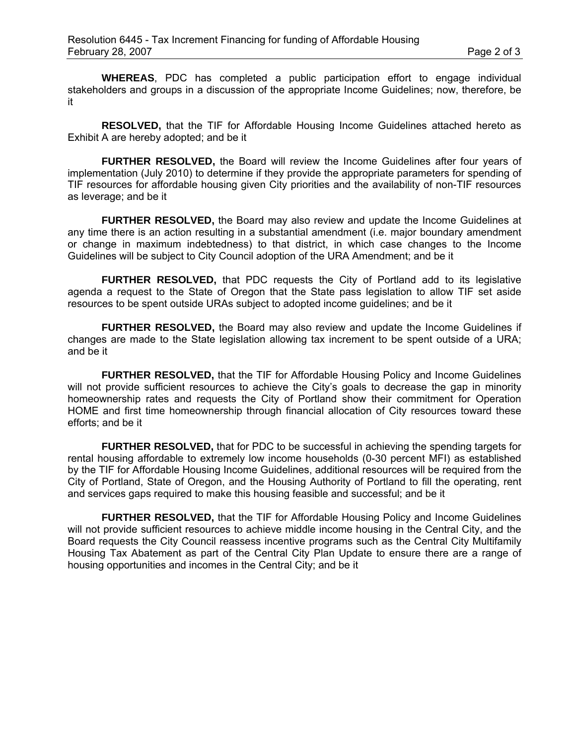**WHEREAS**, PDC has completed a public participation effort to engage individual stakeholders and groups in a discussion of the appropriate Income Guidelines; now, therefore, be it

**RESOLVED,** that the TIF for Affordable Housing Income Guidelines attached hereto as Exhibit A are hereby adopted; and be it

**FURTHER RESOLVED,** the Board will review the Income Guidelines after four years of implementation (July 2010) to determine if they provide the appropriate parameters for spending of TIF resources for affordable housing given City priorities and the availability of non-TIF resources as leverage; and be it

**FURTHER RESOLVED,** the Board may also review and update the Income Guidelines at any time there is an action resulting in a substantial amendment (i.e. major boundary amendment or change in maximum indebtedness) to that district, in which case changes to the Income Guidelines will be subject to City Council adoption of the URA Amendment; and be it

**FURTHER RESOLVED,** that PDC requests the City of Portland add to its legislative agenda a request to the State of Oregon that the State pass legislation to allow TIF set aside resources to be spent outside URAs subject to adopted income guidelines; and be it

**FURTHER RESOLVED,** the Board may also review and update the Income Guidelines if changes are made to the State legislation allowing tax increment to be spent outside of a URA; and be it

**FURTHER RESOLVED,** that the TIF for Affordable Housing Policy and Income Guidelines will not provide sufficient resources to achieve the City's goals to decrease the gap in minority homeownership rates and requests the City of Portland show their commitment for Operation HOME and first time homeownership through financial allocation of City resources toward these efforts; and be it

**FURTHER RESOLVED,** that for PDC to be successful in achieving the spending targets for rental housing affordable to extremely low income households (0-30 percent MFI) as established by the TIF for Affordable Housing Income Guidelines, additional resources will be required from the City of Portland, State of Oregon, and the Housing Authority of Portland to fill the operating, rent and services gaps required to make this housing feasible and successful; and be it

**FURTHER RESOLVED,** that the TIF for Affordable Housing Policy and Income Guidelines will not provide sufficient resources to achieve middle income housing in the Central City, and the Board requests the City Council reassess incentive programs such as the Central City Multifamily Housing Tax Abatement as part of the Central City Plan Update to ensure there are a range of housing opportunities and incomes in the Central City; and be it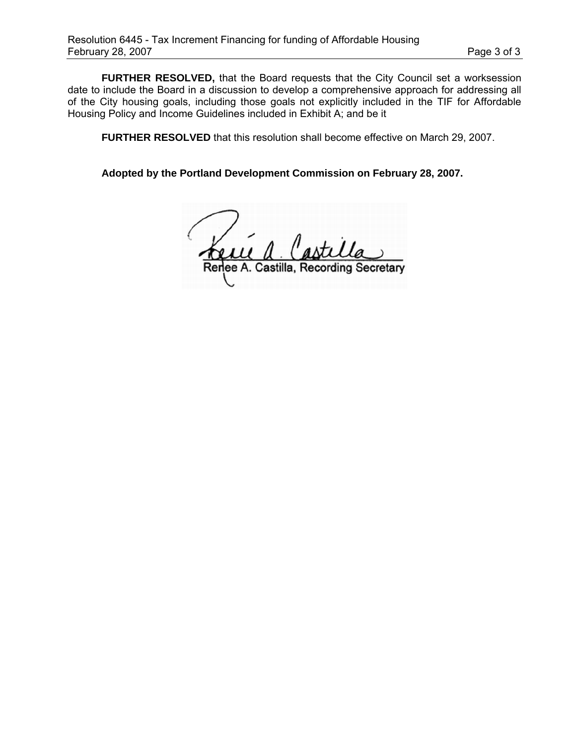**FURTHER RESOLVED,** that the Board requests that the City Council set a worksession date to include the Board in a discussion to develop a comprehensive approach for addressing all of the City housing goals, including those goals not explicitly included in the TIF for Affordable Housing Policy and Income Guidelines included in Exhibit A; and be it

**FURTHER RESOLVED** that this resolution shall become effective on March 29, 2007.

**Adopted by the Portland Development Commission on February 28, 2007.**

ee A. Castilla. etarv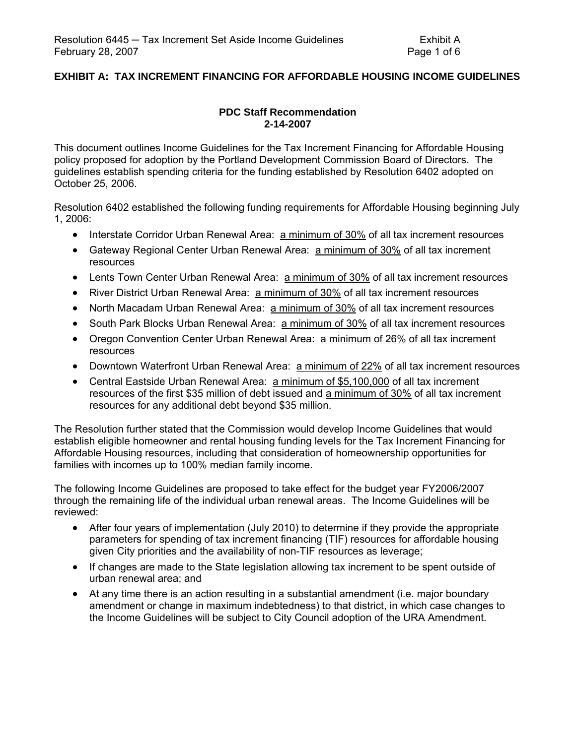# **EXHIBIT A: TAX INCREMENT FINANCING FOR AFFORDABLE HOUSING INCOME GUIDELINES**

# **PDC Staff Recommendation 2-14-2007**

This document outlines Income Guidelines for the Tax Increment Financing for Affordable Housing policy proposed for adoption by the Portland Development Commission Board of Directors. The guidelines establish spending criteria for the funding established by Resolution 6402 adopted on October 25, 2006.

Resolution 6402 established the following funding requirements for Affordable Housing beginning July 1, 2006:

- Interstate Corridor Urban Renewal Area: a minimum of 30% of all tax increment resources
- Gateway Regional Center Urban Renewal Area: a minimum of 30% of all tax increment resources
- Lents Town Center Urban Renewal Area: a minimum of 30% of all tax increment resources
- River District Urban Renewal Area: a minimum of 30% of all tax increment resources
- North Macadam Urban Renewal Area: a minimum of 30% of all tax increment resources
- South Park Blocks Urban Renewal Area: a minimum of 30% of all tax increment resources
- Oregon Convention Center Urban Renewal Area: a minimum of 26% of all tax increment resources
- Downtown Waterfront Urban Renewal Area: a minimum of 22% of all tax increment resources
- Central Eastside Urban Renewal Area: a minimum of \$5,100,000 of all tax increment resources of the first \$35 million of debt issued and a minimum of 30% of all tax increment resources for any additional debt beyond \$35 million.

The Resolution further stated that the Commission would develop Income Guidelines that would establish eligible homeowner and rental housing funding levels for the Tax Increment Financing for Affordable Housing resources, including that consideration of homeownership opportunities for families with incomes up to 100% median family income.

The following Income Guidelines are proposed to take effect for the budget year FY2006/2007 through the remaining life of the individual urban renewal areas. The Income Guidelines will be reviewed:

- After four years of implementation (July 2010) to determine if they provide the appropriate parameters for spending of tax increment financing (TIF) resources for affordable housing given City priorities and the availability of non-TIF resources as leverage;
- If changes are made to the State legislation allowing tax increment to be spent outside of urban renewal area; and
- At any time there is an action resulting in a substantial amendment (i.e. major boundary amendment or change in maximum indebtedness) to that district, in which case changes to the Income Guidelines will be subject to City Council adoption of the URA Amendment.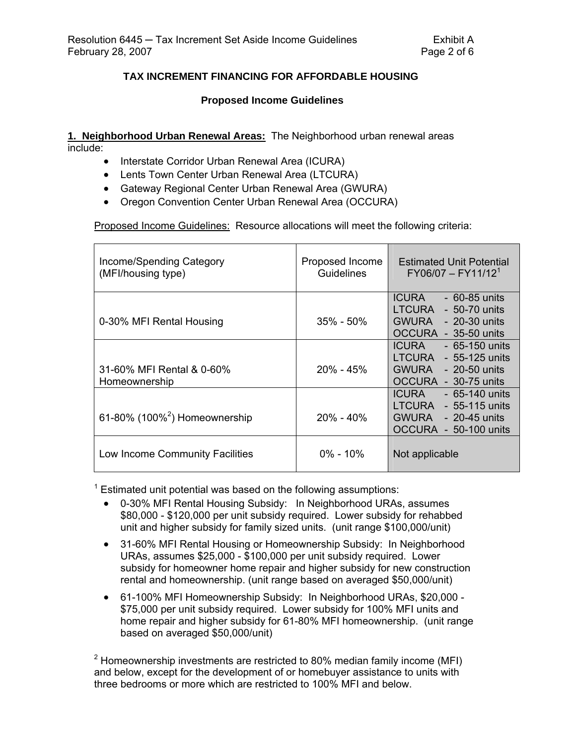# **TAX INCREMENT FINANCING FOR AFFORDABLE HOUSING**

#### **Proposed Income Guidelines**

**1. Neighborhood Urban Renewal Areas:** The Neighborhood urban renewal areas include:

- Interstate Corridor Urban Renewal Area (ICURA)
- Lents Town Center Urban Renewal Area (LTCURA)
- Gateway Regional Center Urban Renewal Area (GWURA)
- Oregon Convention Center Urban Renewal Area (OCCURA)

Proposed Income Guidelines: Resource allocations will meet the following criteria:

| Income/Spending Category<br>(MFI/housing type) | Proposed Income<br><b>Guidelines</b> | <b>Estimated Unit Potential</b><br>$FY06/07 - FY11/121$                                                   |  |
|------------------------------------------------|--------------------------------------|-----------------------------------------------------------------------------------------------------------|--|
| 0-30% MFI Rental Housing                       | $35\%$ - $50\%$                      | <b>ICURA</b><br>$-60-85$ units<br>LTCURA<br>- 50-70 units<br>GWURA - 20-30 units<br>OCCURA - 35-50 units  |  |
| 31-60% MFI Rental & 0-60%<br>Homeownership     | $20\% - 45\%$                        | - 65-150 units<br><b>ICURA</b><br>$LTCURA - 55-125$ units<br>GWURA - 20-50 units<br>OCCURA - 30-75 units  |  |
| 61-80% (100% <sup>2</sup> ) Homeownership      | 20% - 40%                            | <b>ICURA</b><br>- 65-140 units<br>$LTCURA - 55-115$ units<br>GWURA - 20-45 units<br>OCCURA - 50-100 units |  |
| Low Income Community Facilities                | $0\% - 10\%$                         | Not applicable                                                                                            |  |

 $1$  Estimated unit potential was based on the following assumptions:

- 0-30% MFI Rental Housing Subsidy: In Neighborhood URAs, assumes \$80,000 - \$120,000 per unit subsidy required. Lower subsidy for rehabbed unit and higher subsidy for family sized units. (unit range \$100,000/unit)
- 31-60% MFI Rental Housing or Homeownership Subsidy: In Neighborhood URAs, assumes \$25,000 - \$100,000 per unit subsidy required. Lower subsidy for homeowner home repair and higher subsidy for new construction rental and homeownership. (unit range based on averaged \$50,000/unit)
- 61-100% MFI Homeownership Subsidy: In Neighborhood URAs, \$20,000 \$75,000 per unit subsidy required. Lower subsidy for 100% MFI units and home repair and higher subsidy for 61-80% MFI homeownership. (unit range based on averaged \$50,000/unit)

<sup>2</sup> Homeownership investments are restricted to 80% median family income (MFI) and below, except for the development of or homebuyer assistance to units with three bedrooms or more which are restricted to 100% MFI and below.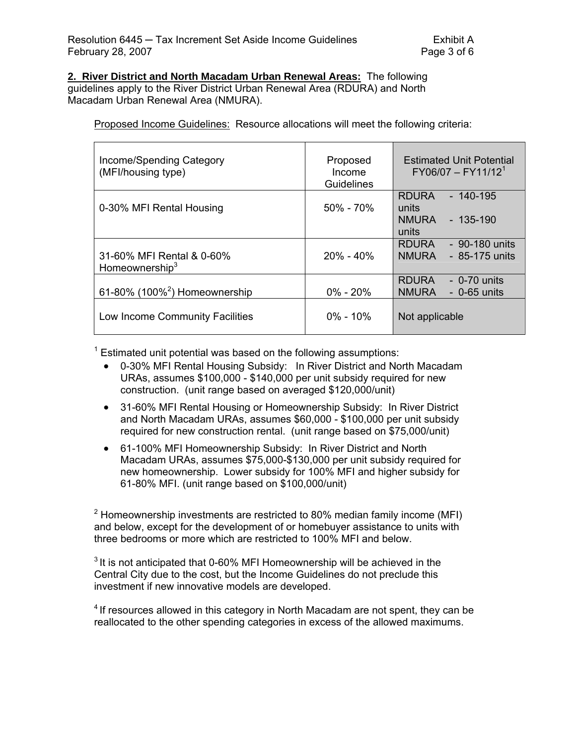## **2. River District and North Macadam Urban Renewal Areas:** The following

guidelines apply to the River District Urban Renewal Area (RDURA) and North Macadam Urban Renewal Area (NMURA).

Proposed Income Guidelines: Resource allocations will meet the following criteria:

| Income/Spending Category<br>(MFI/housing type) | Proposed<br>Income<br><b>Guidelines</b> | <b>Estimated Unit Potential</b><br>$FY06/07 - FY11/121$                   |  |
|------------------------------------------------|-----------------------------------------|---------------------------------------------------------------------------|--|
| 0-30% MFI Rental Housing                       | $50\% - 70\%$                           | <b>RDURA</b><br>$-140-195$<br>units<br><b>NMURA</b><br>- 135-190<br>units |  |
| 31-60% MFI Rental & 0-60%<br>Homeownership $3$ | $20\% - 40\%$                           | <b>RDURA</b><br>- 90-180 units<br><b>NMURA</b><br>- 85-175 units          |  |
| 61-80% (100% $^2$ ) Homeownership              | $0\% - 20\%$                            | <b>RDURA</b><br>$-$ 0-70 units<br><b>NMURA</b><br>$-0$ -65 units          |  |
| Low Income Community Facilities                | $0\% - 10\%$                            | Not applicable                                                            |  |

 $1$  Estimated unit potential was based on the following assumptions:

- 0-30% MFI Rental Housing Subsidy: In River District and North Macadam URAs, assumes \$100,000 - \$140,000 per unit subsidy required for new construction. (unit range based on averaged \$120,000/unit)
- 31-60% MFI Rental Housing or Homeownership Subsidy: In River District and North Macadam URAs, assumes \$60,000 - \$100,000 per unit subsidy required for new construction rental. (unit range based on \$75,000/unit)
- 61-100% MFI Homeownership Subsidy: In River District and North Macadam URAs, assumes \$75,000-\$130,000 per unit subsidy required for new homeownership. Lower subsidy for 100% MFI and higher subsidy for 61-80% MFI. (unit range based on \$100,000/unit)

<sup>2</sup> Homeownership investments are restricted to 80% median family income (MFI) and below, except for the development of or homebuyer assistance to units with three bedrooms or more which are restricted to 100% MFI and below.

 $3$  It is not anticipated that 0-60% MFI Homeownership will be achieved in the Central City due to the cost, but the Income Guidelines do not preclude this investment if new innovative models are developed.

 $4$  If resources allowed in this category in North Macadam are not spent, they can be reallocated to the other spending categories in excess of the allowed maximums.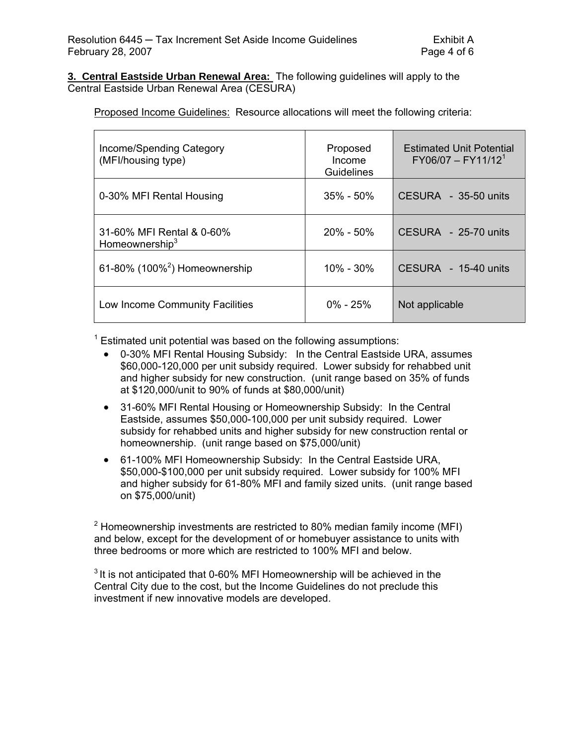**3. Central Eastside Urban Renewal Area:** The following guidelines will apply to the Central Eastside Urban Renewal Area (CESURA)

Proposed Income Guidelines: Resource allocations will meet the following criteria:

| Income/Spending Category<br>(MFI/housing type)          | Proposed<br>Income<br><b>Guidelines</b> | <b>Estimated Unit Potential</b><br>$FY06/07 - FY11/121$ |
|---------------------------------------------------------|-----------------------------------------|---------------------------------------------------------|
| 0-30% MFI Rental Housing                                | $35\%$ - $50\%$                         | $CESURA - 35-50 units$                                  |
| 31-60% MFI Rental & 0-60%<br>Homeownership <sup>3</sup> | $20\% - 50\%$                           | $CESURA - 25-70 units$                                  |
| 61-80% (100% <sup>2</sup> ) Homeownership               | $10\% - 30\%$                           | CESURA - 15-40 units                                    |
| Low Income Community Facilities                         | $0\% - 25\%$                            | Not applicable                                          |

 $1$  Estimated unit potential was based on the following assumptions:

- 0-30% MFI Rental Housing Subsidy: In the Central Eastside URA, assumes \$60,000-120,000 per unit subsidy required. Lower subsidy for rehabbed unit and higher subsidy for new construction. (unit range based on 35% of funds at \$120,000/unit to 90% of funds at \$80,000/unit)
- 31-60% MFI Rental Housing or Homeownership Subsidy: In the Central Eastside, assumes \$50,000-100,000 per unit subsidy required. Lower subsidy for rehabbed units and higher subsidy for new construction rental or homeownership. (unit range based on \$75,000/unit)
- 61-100% MFI Homeownership Subsidy: In the Central Eastside URA, \$50,000-\$100,000 per unit subsidy required. Lower subsidy for 100% MFI and higher subsidy for 61-80% MFI and family sized units. (unit range based on \$75,000/unit)

<sup>2</sup> Homeownership investments are restricted to 80% median family income (MFI) and below, except for the development of or homebuyer assistance to units with three bedrooms or more which are restricted to 100% MFI and below.

 $3$  It is not anticipated that 0-60% MFI Homeownership will be achieved in the Central City due to the cost, but the Income Guidelines do not preclude this investment if new innovative models are developed.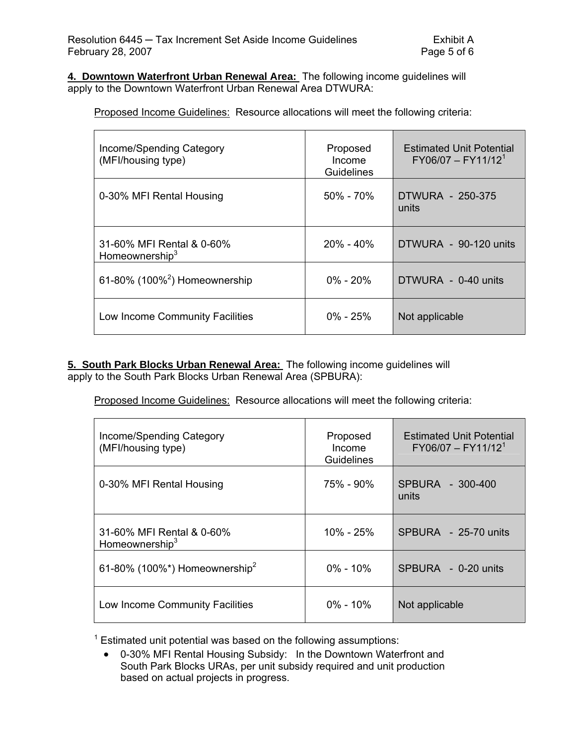**4. Downtown Waterfront Urban Renewal Area:** The following income guidelines will apply to the Downtown Waterfront Urban Renewal Area DTWURA:

Proposed Income Guidelines: Resource allocations will meet the following criteria:

| Income/Spending Category<br>(MFI/housing type)          | Proposed<br>Income<br>Guidelines | <b>Estimated Unit Potential</b><br>$FY06/07 - FY11/121$ |
|---------------------------------------------------------|----------------------------------|---------------------------------------------------------|
| 0-30% MFI Rental Housing                                | $50\% - 70\%$                    | DTWURA - 250-375<br>units                               |
| 31-60% MFI Rental & 0-60%<br>Homeownership <sup>3</sup> | $20\% - 40\%$                    | DTWURA - 90-120 units                                   |
| 61-80% (100% $^2$ ) Homeownership                       | $0\% - 20\%$                     | DTWURA - 0-40 units                                     |
| Low Income Community Facilities                         | $0\% - 25\%$                     | Not applicable                                          |

**5. South Park Blocks Urban Renewal Area:** The following income guidelines will apply to the South Park Blocks Urban Renewal Area (SPBURA):

Proposed Income Guidelines: Resource allocations will meet the following criteria:

| Income/Spending Category<br>(MFI/housing type) | Proposed<br>Income<br>Guidelines | <b>Estimated Unit Potential</b><br>$FY06/07 - FY11/121$ |
|------------------------------------------------|----------------------------------|---------------------------------------------------------|
| 0-30% MFI Rental Housing                       | 75% - 90%                        | SPBURA - 300-400<br>units                               |
| 31-60% MFI Rental & 0-60%<br>Homeownership $3$ | $10\% - 25\%$                    | SPBURA - 25-70 units                                    |
| 61-80% (100%*) Homeownership <sup>2</sup>      | $0\% - 10\%$                     | SPBURA - 0-20 units                                     |
| Low Income Community Facilities                | $0\% - 10\%$                     | Not applicable                                          |

 $1$  Estimated unit potential was based on the following assumptions:

• 0-30% MFI Rental Housing Subsidy: In the Downtown Waterfront and South Park Blocks URAs, per unit subsidy required and unit production based on actual projects in progress.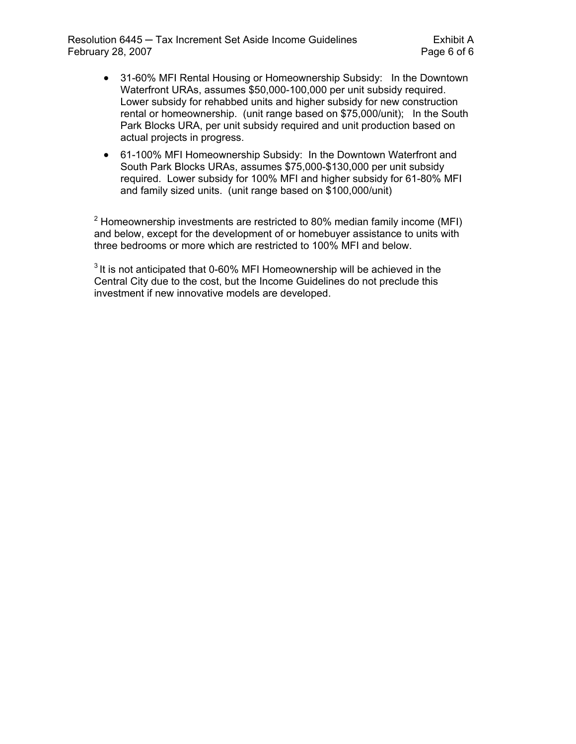Resolution 6445 — Tax Increment Set Aside Income Guidelines Funchion Exhibit A February 28, 2007 **Page 6 of 6** 

- 31-60% MFI Rental Housing or Homeownership Subsidy: In the Downtown Waterfront URAs, assumes \$50,000-100,000 per unit subsidy required. Lower subsidy for rehabbed units and higher subsidy for new construction rental or homeownership. (unit range based on \$75,000/unit); In the South Park Blocks URA, per unit subsidy required and unit production based on actual projects in progress.
- 61-100% MFI Homeownership Subsidy: In the Downtown Waterfront and South Park Blocks URAs, assumes \$75,000-\$130,000 per unit subsidy required. Lower subsidy for 100% MFI and higher subsidy for 61-80% MFI and family sized units. (unit range based on \$100,000/unit)

<sup>2</sup> Homeownership investments are restricted to 80% median family income (MFI) and below, except for the development of or homebuyer assistance to units with three bedrooms or more which are restricted to 100% MFI and below.

 $3$  It is not anticipated that 0-60% MFI Homeownership will be achieved in the Central City due to the cost, but the Income Guidelines do not preclude this investment if new innovative models are developed.